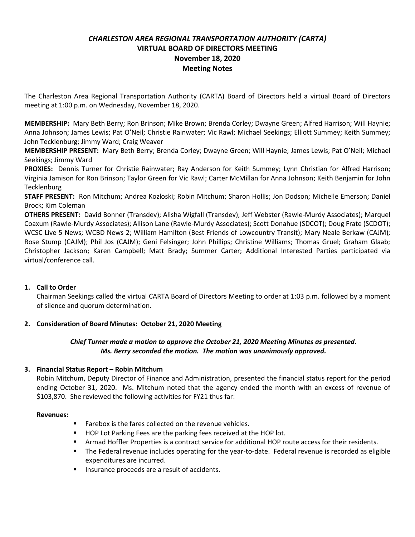# *CHARLESTON AREA REGIONAL TRANSPORTATION AUTHORITY (CARTA)* **VIRTUAL BOARD OF DIRECTORS MEETING November 18, 2020 Meeting Notes**

The Charleston Area Regional Transportation Authority (CARTA) Board of Directors held a virtual Board of Directors meeting at 1:00 p.m. on Wednesday, November 18, 2020.

**MEMBERSHIP:** Mary Beth Berry; Ron Brinson; Mike Brown; Brenda Corley; Dwayne Green; Alfred Harrison; Will Haynie; Anna Johnson; James Lewis; Pat O'Neil; Christie Rainwater; Vic Rawl; Michael Seekings; Elliott Summey; Keith Summey; John Tecklenburg; Jimmy Ward; Craig Weaver

**MEMBERSHIP PRESENT:** Mary Beth Berry; Brenda Corley; Dwayne Green; Will Haynie; James Lewis; Pat O'Neil; Michael Seekings; Jimmy Ward

**PROXIES:** Dennis Turner for Christie Rainwater; Ray Anderson for Keith Summey; Lynn Christian for Alfred Harrison; Virginia Jamison for Ron Brinson; Taylor Green for Vic Rawl; Carter McMillan for Anna Johnson; Keith Benjamin for John **Tecklenburg** 

**STAFF PRESENT:** Ron Mitchum; Andrea Kozloski; Robin Mitchum; Sharon Hollis; Jon Dodson; Michelle Emerson; Daniel Brock; Kim Coleman

**OTHERS PRESENT:** David Bonner (Transdev); Alisha Wigfall (Transdev); Jeff Webster (Rawle-Murdy Associates); Marquel Coaxum (Rawle-Murdy Associates); Allison Lane (Rawle-Murdy Associates); Scott Donahue (SDCOT); Doug Frate (SCDOT); WCSC Live 5 News; WCBD News 2; William Hamilton (Best Friends of Lowcountry Transit); Mary Neale Berkaw (CAJM); Rose Stump (CAJM); Phil Jos (CAJM); Geni Felsinger; John Phillips; Christine Williams; Thomas Gruel; Graham Glaab; Christopher Jackson; Karen Campbell; Matt Brady; Summer Carter; Additional Interested Parties participated via virtual/conference call.

# **1. Call to Order**

Chairman Seekings called the virtual CARTA Board of Directors Meeting to order at 1:03 p.m. followed by a moment of silence and quorum determination.

# **2. Consideration of Board Minutes: October 21, 2020 Meeting**

# *Chief Turner made a motion to approve the October 21, 2020 Meeting Minutes as presented. Ms. Berry seconded the motion. The motion was unanimously approved.*

# **3. Financial Status Report – Robin Mitchum**

Robin Mitchum, Deputy Director of Finance and Administration, presented the financial status report for the period ending October 31, 2020. Ms. Mitchum noted that the agency ended the month with an excess of revenue of \$103,870. She reviewed the following activities for FY21 thus far:

#### **Revenues:**

- Farebox is the fares collected on the revenue vehicles.
- HOP Lot Parking Fees are the parking fees received at the HOP lot.
- **EXECT** Armad Hoffler Properties is a contract service for additional HOP route access for their residents.
- The Federal revenue includes operating for the year-to-date. Federal revenue is recorded as eligible expenditures are incurred.
- **EXECUTE:** Insurance proceeds are a result of accidents.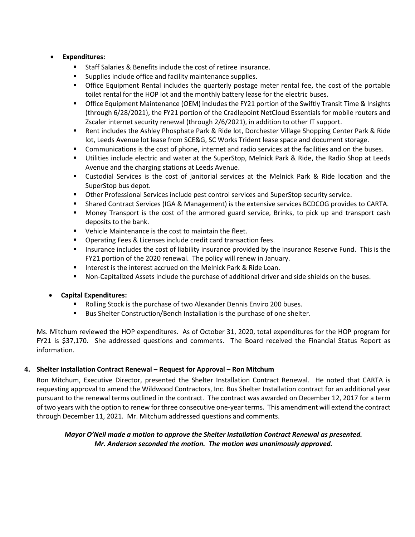## • **Expenditures:**

- Staff Salaries & Benefits include the cost of retiree insurance.
- Supplies include office and facility maintenance supplies.
- **•** Office Equipment Rental includes the quarterly postage meter rental fee, the cost of the portable toilet rental for the HOP lot and the monthly battery lease for the electric buses.
- Office Equipment Maintenance (OEM) includes the FY21 portion of the Swiftly Transit Time & Insights (through 6/28/2021), the FY21 portion of the Cradlepoint NetCloud Essentials for mobile routers and Zscaler internet security renewal (through 2/6/2021), in addition to other IT support.
- Rent includes the Ashley Phosphate Park & Ride lot, Dorchester Village Shopping Center Park & Ride lot, Leeds Avenue lot lease from SCE&G, SC Works Trident lease space and document storage.
- Communications is the cost of phone, internet and radio services at the facilities and on the buses.
- Utilities include electric and water at the SuperStop, Melnick Park & Ride, the Radio Shop at Leeds Avenue and the charging stations at Leeds Avenue.
- Custodial Services is the cost of janitorial services at the Melnick Park & Ride location and the SuperStop bus depot.
- Other Professional Services include pest control services and SuperStop security service.
- Shared Contract Services (IGA & Management) is the extensive services BCDCOG provides to CARTA.
- Money Transport is the cost of the armored guard service, Brinks, to pick up and transport cash deposits to the bank.
- Vehicle Maintenance is the cost to maintain the fleet.
- Operating Fees & Licenses include credit card transaction fees.
- Insurance includes the cost of liability insurance provided by the Insurance Reserve Fund. This is the FY21 portion of the 2020 renewal. The policy will renew in January.
- Interest is the interest accrued on the Melnick Park & Ride Loan.
- Non-Capitalized Assets include the purchase of additional driver and side shields on the buses.

# • **Capital Expenditures:**

- Rolling Stock is the purchase of two Alexander Dennis Enviro 200 buses.
- Bus Shelter Construction/Bench Installation is the purchase of one shelter.

Ms. Mitchum reviewed the HOP expenditures. As of October 31, 2020, total expenditures for the HOP program for FY21 is \$37,170. She addressed questions and comments. The Board received the Financial Status Report as information.

# **4. Shelter Installation Contract Renewal – Request for Approval – Ron Mitchum**

Ron Mitchum, Executive Director, presented the Shelter Installation Contract Renewal. He noted that CARTA is requesting approval to amend the Wildwood Contractors, Inc. Bus Shelter Installation contract for an additional year pursuant to the renewal terms outlined in the contract. The contract was awarded on December 12, 2017 for a term of two years with the option to renew for three consecutive one-year terms. This amendment will extend the contract through December 11, 2021. Mr. Mitchum addressed questions and comments.

# *Mayor O'Neil made a motion to approve the Shelter Installation Contract Renewal as presented. Mr. Anderson seconded the motion. The motion was unanimously approved.*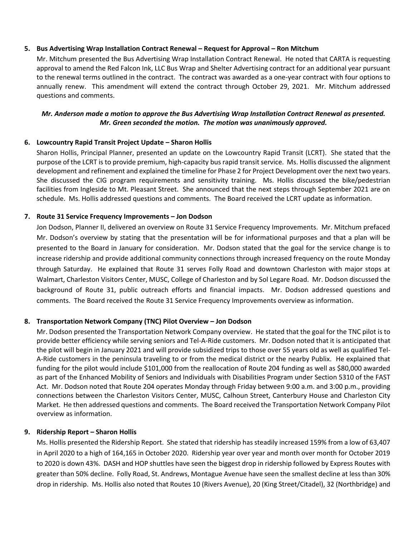#### **5. Bus Advertising Wrap Installation Contract Renewal – Request for Approval – Ron Mitchum**

Mr. Mitchum presented the Bus Advertising Wrap Installation Contract Renewal. He noted that CARTA is requesting approval to amend the Red Falcon Ink, LLC Bus Wrap and Shelter Advertising contract for an additional year pursuant to the renewal terms outlined in the contract. The contract was awarded as a one-year contract with four options to annually renew. This amendment will extend the contract through October 29, 2021. Mr. Mitchum addressed questions and comments.

## *Mr. Anderson made a motion to approve the Bus Advertising Wrap Installation Contract Renewal as presented. Mr. Green seconded the motion. The motion was unanimously approved.*

## **6. Lowcountry Rapid Transit Project Update – Sharon Hollis**

Sharon Hollis, Principal Planner, presented an update on the Lowcountry Rapid Transit (LCRT). She stated that the purpose of the LCRT is to provide premium, high-capacity bus rapid transit service. Ms. Hollis discussed the alignment development and refinement and explained the timeline for Phase 2 for Project Development over the next two years. She discussed the CIG program requirements and sensitivity training. Ms. Hollis discussed the bike/pedestrian facilities from Ingleside to Mt. Pleasant Street. She announced that the next steps through September 2021 are on schedule. Ms. Hollis addressed questions and comments. The Board received the LCRT update as information.

## **7. Route 31 Service Frequency Improvements – Jon Dodson**

Jon Dodson, Planner II, delivered an overview on Route 31 Service Frequency Improvements. Mr. Mitchum prefaced Mr. Dodson's overview by stating that the presentation will be for informational purposes and that a plan will be presented to the Board in January for consideration. Mr. Dodson stated that the goal for the service change is to increase ridership and provide additional community connections through increased frequency on the route Monday through Saturday. He explained that Route 31 serves Folly Road and downtown Charleston with major stops at Walmart, Charleston Visitors Center, MUSC, College of Charleston and by Sol Legare Road. Mr. Dodson discussed the background of Route 31, public outreach efforts and financial impacts. Mr. Dodson addressed questions and comments. The Board received the Route 31 Service Frequency Improvements overview as information.

#### **8. Transportation Network Company (TNC) Pilot Overview – Jon Dodson**

Mr. Dodson presented the Transportation Network Company overview. He stated that the goal for the TNC pilot is to provide better efficiency while serving seniors and Tel-A-Ride customers. Mr. Dodson noted that it is anticipated that the pilot will begin in January 2021 and will provide subsidized trips to those over 55 years old as well as qualified Tel-A-Ride customers in the peninsula traveling to or from the medical district or the nearby Publix. He explained that funding for the pilot would include \$101,000 from the reallocation of Route 204 funding as well as \$80,000 awarded as part of the Enhanced Mobility of Seniors and Individuals with Disabilities Program under Section 5310 of the FAST Act. Mr. Dodson noted that Route 204 operates Monday through Friday between 9:00 a.m. and 3:00 p.m., providing connections between the Charleston Visitors Center, MUSC, Calhoun Street, Canterbury House and Charleston City Market. He then addressed questions and comments. The Board received the Transportation Network Company Pilot overview as information.

#### **9. Ridership Report – Sharon Hollis**

Ms. Hollis presented the Ridership Report. She stated that ridership has steadily increased 159% from a low of 63,407 in April 2020 to a high of 164,165 in October 2020. Ridership year over year and month over month for October 2019 to 2020 is down 43%. DASH and HOP shuttles have seen the biggest drop in ridership followed by Express Routes with greater than 50% decline. Folly Road, St. Andrews, Montague Avenue have seen the smallest decline at less than 30% drop in ridership. Ms. Hollis also noted that Routes 10 (Rivers Avenue), 20 (King Street/Citadel), 32 (Northbridge) and